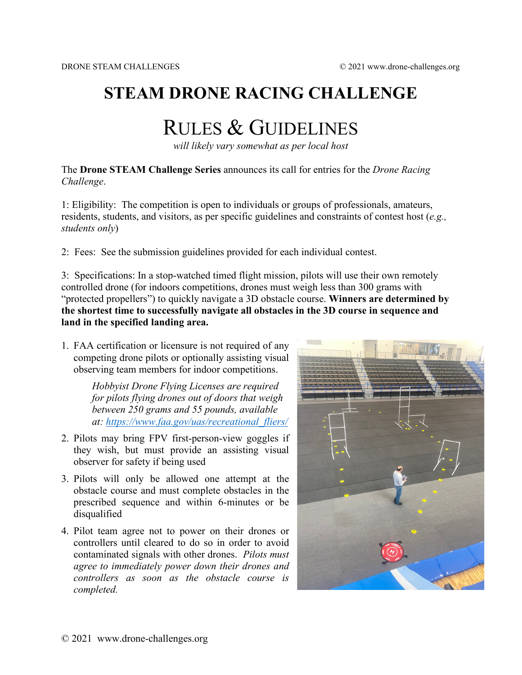## **STEAM DRONE RACING CHALLENGE**

# RULES & GUIDELINES

*will likely vary somewhat as per local host*

The **Drone STEAM Challenge Series** announces its call for entries for the *Drone Racing Challenge*.

1: Eligibility: The competition is open to individuals or groups of professionals, amateurs, residents, students, and visitors, as per specific guidelines and constraints of contest host (*e.g., students only*)

2: Fees: See the submission guidelines provided for each individual contest.

3: Specifications: In a stop-watched timed flight mission, pilots will use their own remotely controlled drone (for indoors competitions, drones must weigh less than 300 grams with "protected propellers") to quickly navigate a 3D obstacle course. **Winners are determined by the shortest time to successfully navigate all obstacles in the 3D course in sequence and land in the specified landing area.** 

1. FAA certification or licensure is not required of any competing drone pilots or optionally assisting visual observing team members for indoor competitions.

> *Hobbyist Drone Flying Licenses are required for pilots flying drones out of doors that weigh between 250 grams and 55 pounds, available at: [https://www.faa.gov/uas/recreational\\_fliers/](https://www.faa.gov/uas/recreational_fliers/)*

- 2. Pilots may bring FPV first-person-view goggles if they wish, but must provide an assisting visual observer for safety if being used
- 3. Pilots will only be allowed one attempt at the obstacle course and must complete obstacles in the prescribed sequence and within 6-minutes or be disqualified
- 4. Pilot team agree not to power on their drones or controllers until cleared to do so in order to avoid contaminated signals with other drones. *Pilots must agree to immediately power down their drones and controllers as soon as the obstacle course is completed.*

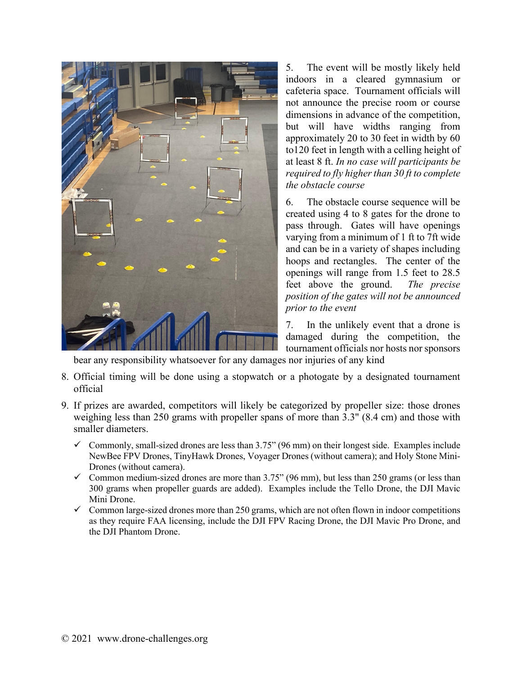

5. The event will be mostly likely held indoors in a cleared gymnasium or cafeteria space. Tournament officials will not announce the precise room or course dimensions in advance of the competition, but will have widths ranging from approximately 20 to 30 feet in width by 60 to120 feet in length with a celling height of at least 8 ft. *In no case will participants be required to fly higher than 30 ft to complete the obstacle course*

6. The obstacle course sequence will be created using 4 to 8 gates for the drone to pass through. Gates will have openings varying from a minimum of 1 ft to 7ft wide and can be in a variety of shapes including hoops and rectangles. The center of the openings will range from 1.5 feet to 28.5 feet above the ground. *The precise position of the gates will not be announced prior to the event*

7. In the unlikely event that a drone is damaged during the competition, the tournament officials nor hosts nor sponsors

bear any responsibility whatsoever for any damages nor injuries of any kind

- 8. Official timing will be done using a stopwatch or a photogate by a designated tournament official
- 9. If prizes are awarded, competitors will likely be categorized by propeller size: those drones weighing less than 250 grams with propeller spans of more than 3.3" (8.4 cm) and those with smaller diameters.
	- $\checkmark$  Commonly, small-sized drones are less than 3.75" (96 mm) on their longest side. Examples include NewBee FPV Drones, TinyHawk Drones, Voyager Drones (without camera); and Holy Stone Mini-Drones (without camera).
	- $\checkmark$  Common medium-sized drones are more than 3.75" (96 mm), but less than 250 grams (or less than 300 grams when propeller guards are added). Examples include the Tello Drone, the DJI Mavic Mini Drone.
	- $\checkmark$  Common large-sized drones more than 250 grams, which are not often flown in indoor competitions as they require FAA licensing, include the DJI FPV Racing Drone, the DJI Mavic Pro Drone, and the DJI Phantom Drone.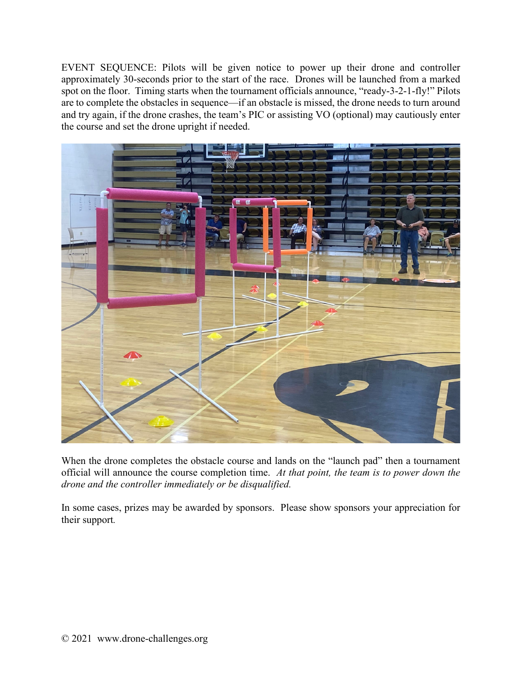EVENT SEQUENCE: Pilots will be given notice to power up their drone and controller approximately 30-seconds prior to the start of the race. Drones will be launched from a marked spot on the floor. Timing starts when the tournament officials announce, "ready-3-2-1-fly!" Pilots are to complete the obstacles in sequence—if an obstacle is missed, the drone needs to turn around and try again, if the drone crashes, the team's PIC or assisting VO (optional) may cautiously enter the course and set the drone upright if needed.



When the drone completes the obstacle course and lands on the "launch pad" then a tournament official will announce the course completion time. *At that point, the team is to power down the drone and the controller immediately or be disqualified.*

In some cases, prizes may be awarded by sponsors. Please show sponsors your appreciation for their support*.*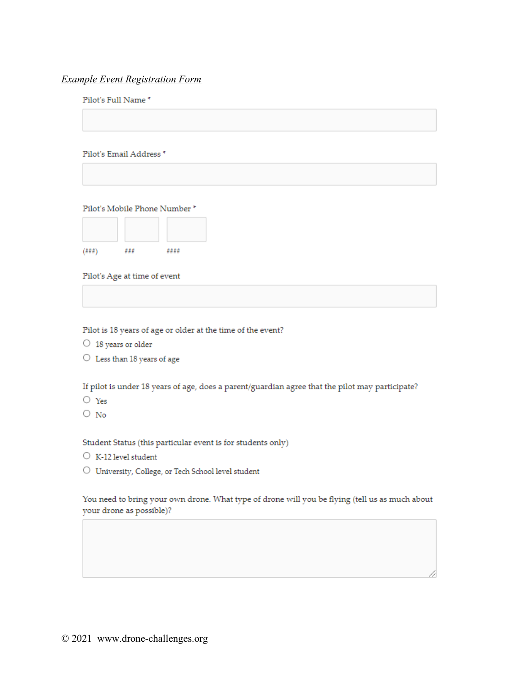#### **Example Event Registration Form**

#### Pilot's Full Name\*

Pilot's Email Address \*

Pilot's Mobile Phone Number \*



Pilot's Age at time of event

Pilot is 18 years of age or older at the time of the event?

- $\circ$  18 years or older
- $\bigcirc$  Less than 18 years of age

If pilot is under 18 years of age, does a parent/guardian agree that the pilot may participate?

- $\bigcirc$  Yes
- $\bigcirc$  No

Student Status (this particular event is for students only)

- $\circ$  K-12 level student
- $\bigcirc$  University, College, or Tech School level student

You need to bring your own drone. What type of drone will you be flying (tell us as much about your drone as possible)?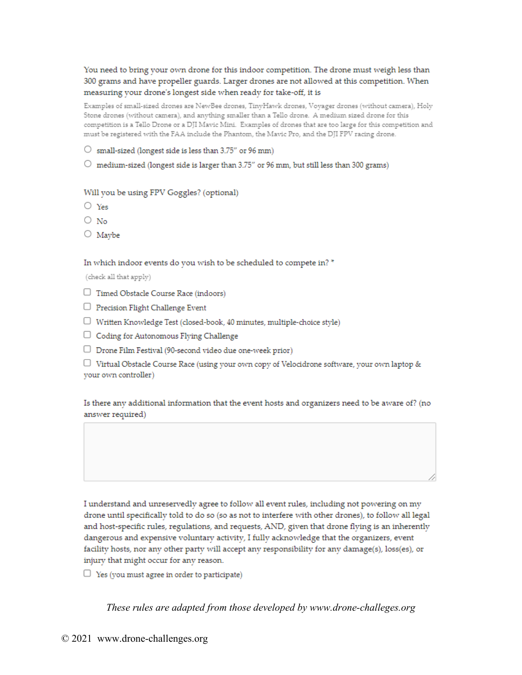You need to bring your own drone for this indoor competition. The drone must weigh less than 300 grams and have propeller guards. Larger drones are not allowed at this competition. When measuring your drone's longest side when ready for take-off, it is

Examples of small-sized drones are NewBee drones, TinyHawk drones, Voyager drones (without camera), Holy Stone drones (without camera), and anything smaller than a Tello drone. A medium sized drone for this competition is a Tello Drone or a DJI Mavic Mini. Examples of drones that are too large for this competition and must be registered with the FAA include the Phantom, the Mavic Pro, and the DJI FPV racing drone.

- $\circlearrowright$  small-sized (longest side is less than 3.75" or 96 mm)
- $\circlearrowright$  medium-sized (longest side is larger than 3.75" or 96 mm, but still less than 300 grams)

Will you be using FPV Goggles? (optional)

- $\bigcirc$  Yes
- $\bigcirc$  No
- $\bigcirc$  Maybe

In which indoor events do you wish to be scheduled to compete in? \*

(check all that apply)

- $\Box$  Timed Obstacle Course Race (indoors)
- $\Box$  Precision Flight Challenge Event
- $\Box$  Written Knowledge Test (closed-book, 40 minutes, multiple-choice style)
- $\Box$  Coding for Autonomous Flying Challenge
- $\Box$  Drone Film Festival (90-second video due one-week prior)

 $\Box$  Virtual Obstacle Course Race (using your own copy of Velocidrone software, your own laptop & your own controller)

Is there any additional information that the event hosts and organizers need to be aware of? (no answer required)

I understand and unreservedly agree to follow all event rules, including not powering on my drone until specifically told to do so (so as not to interfere with other drones), to follow all legal and host-specific rules, regulations, and requests, AND, given that drone flying is an inherently dangerous and expensive voluntary activity, I fully acknowledge that the organizers, event facility hosts, nor any other party will accept any responsibility for any damage(s), loss(es), or injury that might occur for any reason.

 $\Box$  Yes (you must agree in order to participate)

These rules are adapted from those developed by www.drone-challeges.org